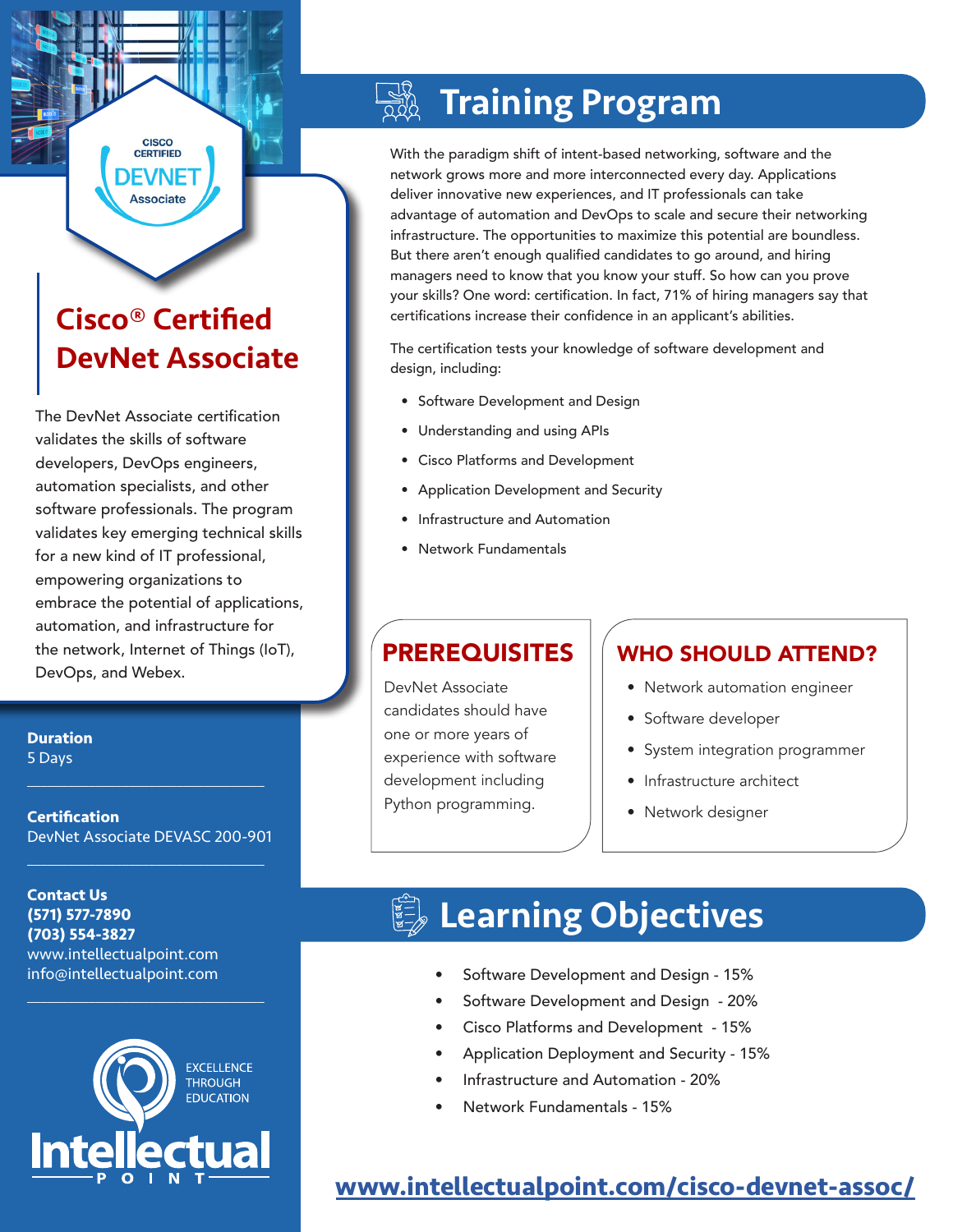## Cisco® Certified DevNet Associate

**CISCO CERTIFIED** DEVNET **Associate** 

The DevNet Associate certification validates the skills of software developers, DevOps engineers, automation specialists, and other software professionals. The program validates key emerging technical skills for a new kind of IT professional, empowering organizations to embrace the potential of applications, automation, and infrastructure for the network, Internet of Things (IoT), DevOps, and Webex.

#### **Duration** 5 Days

**Certification** DevNet Associate DEVASC 200-901

 $\mathcal{L}_\text{max}$  , and the set of the set of the set of the set of the set of the set of the set of the set of the set of the set of the set of the set of the set of the set of the set of the set of the set of the set of the

 $\mathcal{L}_\text{max}$  , and the set of the set of the set of the set of the set of the set of the set of the set of the set of the set of the set of the set of the set of the set of the set of the set of the set of the set of the

 $\mathcal{L}_\text{max}$  and  $\mathcal{L}_\text{max}$  and  $\mathcal{L}_\text{max}$  and  $\mathcal{L}_\text{max}$ 

**Contact Us (571) 577-7890 (703) 554-3827** www.intellectualpoint.com info@intellectualpoint.com



# Training Program

With the paradigm shift of intent-based networking, software and the network grows more and more interconnected every day. Applications deliver innovative new experiences, and IT professionals can take advantage of automation and DevOps to scale and secure their networking infrastructure. The opportunities to maximize this potential are boundless. But there aren't enough qualified candidates to go around, and hiring managers need to know that you know your stuff. So how can you prove your skills? One word: certification. In fact, 71% of hiring managers say that certifications increase their confidence in an applicant's abilities.

The certification tests your knowledge of software development and design, including:

- Software Development and Design
- Understanding and using APIs
- Cisco Platforms and Development
- Application Development and Security
- Infrastructure and Automation
- Network Fundamentals

DevNet Associate candidates should have one or more years of experience with software development including Python programming.

### PREREQUISITES | WHO SHOULD ATTEND?

- Network automation engineer
- Software developer
- System integration programmer
- Infrastructure architect
- Network designer

## **■ Learning Objectives**

- Software Development and Design 15%
- Software Development and Design 20%
- Cisco Platforms and Development 15%
- Application Deployment and Security 15%
- Infrastructure and Automation 20%
- Network Fundamentals 15%

### **[www.intellectualpoint.com/](https://www.intellectualpoint.com/product/cisco-devnet-assoc/)cisco-devnet-assoc/**